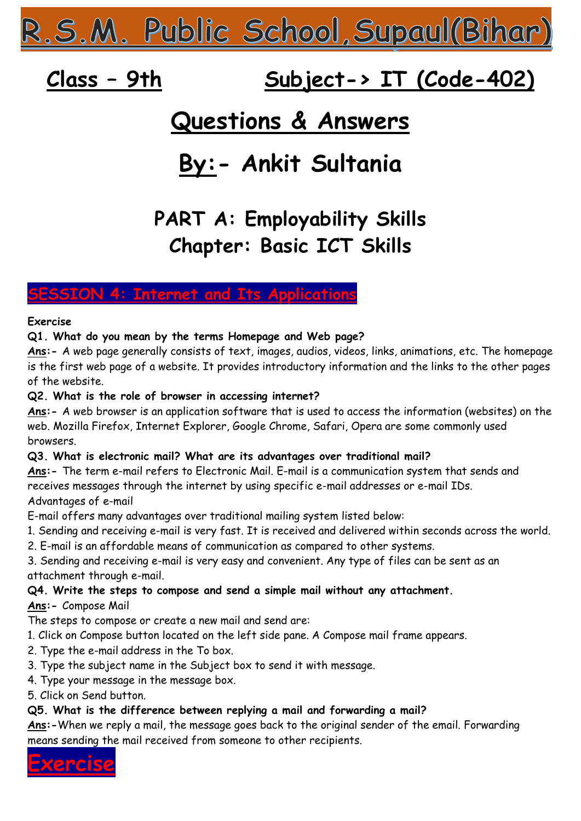R.S.M. Public School,Supaul(Bihar)

# **Class – 9th Subject-> IT (Code-402)**

## **Questions & Answers**

# **By:- Ankit Sultania**

## **PART A: Employability Skills Chapter: Basic ICT Skills**

## **SION 4: Internet and Its Application**

#### **Exercise**

**Q1. What do you mean by the terms Homepage and Web page?** 

**Ans:-** A web page generally consists of text, images, audios, videos, links, animations, etc. The homepage is the first web page of a website. It provides introductory information and the links to the other pages of the website.

#### **Q2. What is the role of browser in accessing internet?**

**Ans:-** A web browser is an application software that is used to access the information (websites) on the web. Mozilla Firefox, Internet Explorer, Google Chrome, Safari, Opera are some commonly used browsers.

#### **Q3. What is electronic mail? What are its advantages over traditional mail?**

**Ans:-** The term e-mail refers to Electronic Mail. E-mail is a communication system that sends and receives messages through the internet by using specific e-mail addresses or e-mail IDs. Advantages of e-mail

E-mail offers many advantages over traditional mailing system listed below:

- 1. Sending and receiving e-mail is very fast. It is received and delivered within seconds across the world.
- 2. E-mail is an affordable means of communication as compared to other systems.

3. Sending and receiving e-mail is very easy and convenient. Any type of files can be sent as an attachment through e-mail.

#### **Q4. Write the steps to compose and send a simple mail without any attachment.**

#### **Ans:-** Compose Mail

The steps to compose or create a new mail and send are:

- 1. Click on Compose button located on the left side pane. A Compose mail frame appears.
- 2. Type the e-mail address in the To box.
- 3. Type the subject name in the Subject box to send it with message.
- 4. Type your message in the message box.
- 5. Click on Send button.

## **Q5. What is the difference between replying a mail and forwarding a mail?**

**Ans:-**When we reply a mail, the message goes back to the original sender of the email. Forwarding means sending the mail received from someone to other recipients.

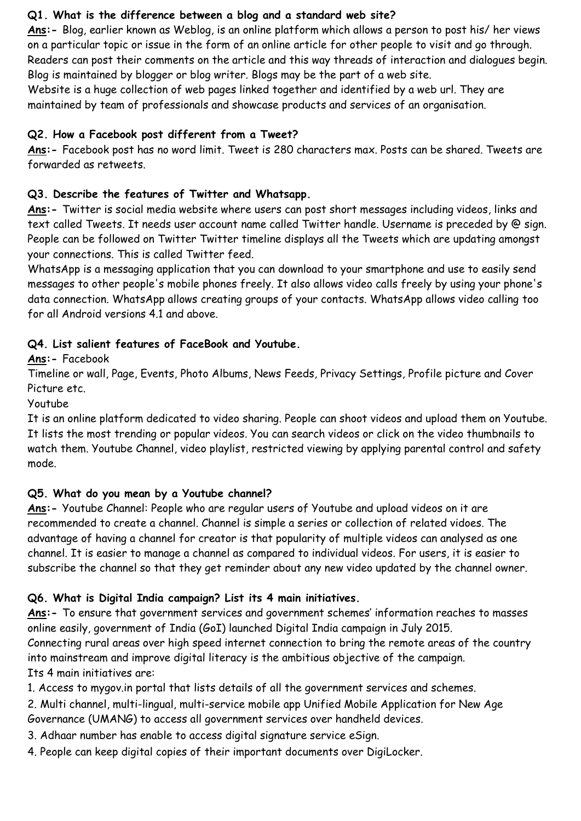#### **Q1. What is the difference between a blog and a standard web site?**

**Ans:-** Blog, earlier known as Weblog, is an online platform which allows a person to post his/ her views on a particular topic or issue in the form of an online article for other people to visit and go through. Readers can post their comments on the article and this way threads of interaction and dialogues begin. Blog is maintained by blogger or blog writer. Blogs may be the part of a web site.

Website is a huge collection of web pages linked together and identified by a web url. They are maintained by team of professionals and showcase products and services of an organisation.

#### **Q2. How a Facebook post different from a Tweet?**

**Ans:-** Facebook post has no word limit. Tweet is 280 characters max. Posts can be shared. Tweets are forwarded as retweets.

#### **Q3. Describe the features of Twitter and Whatsapp.**

**Ans:-** Twitter is social media website where users can post short messages including videos, links and text called Tweets. It needs user account name called Twitter handle. Username is preceded by @ sign. People can be followed on Twitter Twitter timeline displays all the Tweets which are updating amongst your connections. This is called Twitter feed.

WhatsApp is a messaging application that you can download to your smartphone and use to easily send messages to other people's mobile phones freely. It also allows video calls freely by using your phone's data connection. WhatsApp allows creating groups of your contacts. WhatsApp allows video calling too for all Android versions 4.1 and above.

#### **Q4. List salient features of FaceBook and Youtube.**

**Ans:-** Facebook

Timeline or wall, Page, Events, Photo Albums, News Feeds, Privacy Settings, Profile picture and Cover Picture etc.

Youtube

It is an online platform dedicated to video sharing. People can shoot videos and upload them on Youtube. It lists the most trending or popular videos. You can search videos or click on the video thumbnails to watch them. Youtube Channel, video playlist, restricted viewing by applying parental control and safety mode.

#### **Q5. What do you mean by a Youtube channel?**

**Ans:-** Youtube Channel: People who are regular users of Youtube and upload videos on it are recommended to create a channel. Channel is simple a series or collection of related vidoes. The advantage of having a channel for creator is that popularity of multiple videos can analysed as one channel. It is easier to manage a channel as compared to individual videos. For users, it is easier to subscribe the channel so that they get reminder about any new video updated by the channel owner.

## **Q6. What is Digital India campaign? List its 4 main initiatives.**

**Ans:-** To ensure that government services and government schemes' information reaches to masses online easily, government of India (GoI) launched Digital India campaign in July 2015.

Connecting rural areas over high speed internet connection to bring the remote areas of the country into mainstream and improve digital literacy is the ambitious objective of the campaign. Its 4 main initiatives are:

1. Access to mygov.in portal that lists details of all the government services and schemes.

2. Multi channel, multi-lingual, multi-service mobile app Unified Mobile Application for New Age Governance (UMANG) to access all government services over handheld devices.

- 3. Adhaar number has enable to access digital signature service eSign.
- 4. People can keep digital copies of their important documents over DigiLocker.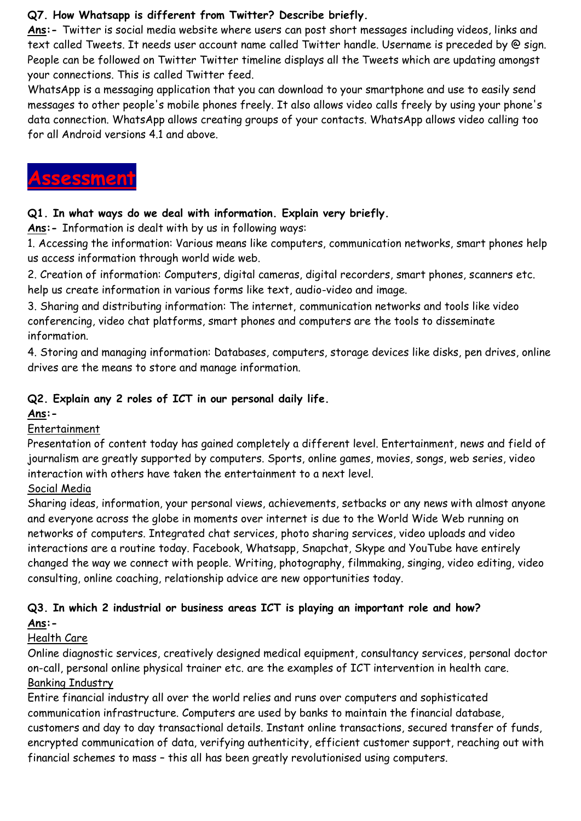#### **Q7. How Whatsapp is different from Twitter? Describe briefly.**

**Ans:-** Twitter is social media website where users can post short messages including videos, links and text called Tweets. It needs user account name called Twitter handle. Username is preceded by @ sign. People can be followed on Twitter Twitter timeline displays all the Tweets which are updating amongst your connections. This is called Twitter feed.

WhatsApp is a messaging application that you can download to your smartphone and use to easily send messages to other people's mobile phones freely. It also allows video calls freely by using your phone's data connection. WhatsApp allows creating groups of your contacts. WhatsApp allows video calling too for all Android versions 4.1 and above.

## **Assessment**

#### **Q1. In what ways do we deal with information. Explain very briefly.**

**Ans:-** Information is dealt with by us in following ways:

1. Accessing the information: Various means like computers, communication networks, smart phones help us access information through world wide web.

2. Creation of information: Computers, digital cameras, digital recorders, smart phones, scanners etc. help us create information in various forms like text, audio-video and image.

3. Sharing and distributing information: The internet, communication networks and tools like video conferencing, video chat platforms, smart phones and computers are the tools to disseminate information.

4. Storing and managing information: Databases, computers, storage devices like disks, pen drives, online drives are the means to store and manage information.

## **Q2. Explain any 2 roles of ICT in our personal daily life.**

#### **Ans:-**

## Entertainment

Presentation of content today has gained completely a different level. Entertainment, news and field of journalism are greatly supported by computers. Sports, online games, movies, songs, web series, video interaction with others have taken the entertainment to a next level.

## Social Media

Sharing ideas, information, your personal views, achievements, setbacks or any news with almost anyone and everyone across the globe in moments over internet is due to the World Wide Web running on networks of computers. Integrated chat services, photo sharing services, video uploads and video interactions are a routine today. Facebook, Whatsapp, Snapchat, Skype and YouTube have entirely changed the way we connect with people. Writing, photography, filmmaking, singing, video editing, video consulting, online coaching, relationship advice are new opportunities today.

## **Q3. In which 2 industrial or business areas ICT is playing an important role and how? Ans:-**

## Health Care

Online diagnostic services, creatively designed medical equipment, consultancy services, personal doctor on-call, personal online physical trainer etc. are the examples of ICT intervention in health care. Banking Industry

Entire financial industry all over the world relies and runs over computers and sophisticated communication infrastructure. Computers are used by banks to maintain the financial database, customers and day to day transactional details. Instant online transactions, secured transfer of funds, encrypted communication of data, verifying authenticity, efficient customer support, reaching out with financial schemes to mass – this all has been greatly revolutionised using computers.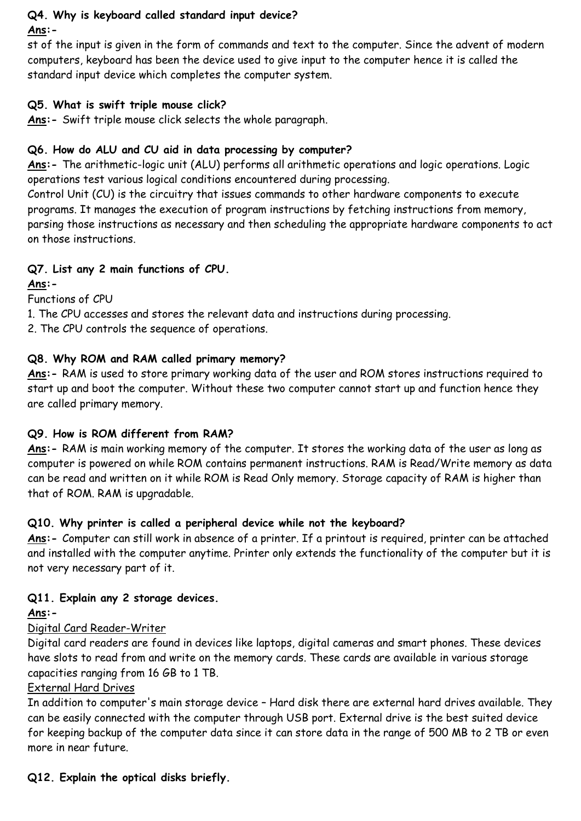#### **Q4. Why is keyboard called standard input device? Ans:-**

st of the input is given in the form of commands and text to the computer. Since the advent of modern computers, keyboard has been the device used to give input to the computer hence it is called the standard input device which completes the computer system.

#### **Q5. What is swift triple mouse click?**

**Ans:-** Swift triple mouse click selects the whole paragraph.

## **Q6. How do ALU and CU aid in data processing by computer?**

**Ans:-** The arithmetic-logic unit (ALU) performs all arithmetic operations and logic operations. Logic operations test various logical conditions encountered during processing.

Control Unit (CU) is the circuitry that issues commands to other hardware components to execute programs. It manages the execution of program instructions by fetching instructions from memory, parsing those instructions as necessary and then scheduling the appropriate hardware components to act on those instructions.

## **Q7. List any 2 main functions of CPU.**

#### **Ans:-**

Functions of CPU

1. The CPU accesses and stores the relevant data and instructions during processing.

2. The CPU controls the sequence of operations.

## **Q8. Why ROM and RAM called primary memory?**

**Ans:-** RAM is used to store primary working data of the user and ROM stores instructions required to start up and boot the computer. Without these two computer cannot start up and function hence they are called primary memory.

## **Q9. How is ROM different from RAM?**

**Ans:-** RAM is main working memory of the computer. It stores the working data of the user as long as computer is powered on while ROM contains permanent instructions. RAM is Read/Write memory as data can be read and written on it while ROM is Read Only memory. Storage capacity of RAM is higher than that of ROM. RAM is upgradable.

## **Q10. Why printer is called a peripheral device while not the keyboard?**

**Ans:-** Computer can still work in absence of a printer. If a printout is required, printer can be attached and installed with the computer anytime. Printer only extends the functionality of the computer but it is not very necessary part of it.

## **Q11. Explain any 2 storage devices.**

## **Ans:-**

## Digital Card Reader-Writer

Digital card readers are found in devices like laptops, digital cameras and smart phones. These devices have slots to read from and write on the memory cards. These cards are available in various storage capacities ranging from 16 GB to 1 TB.

#### External Hard Drives

In addition to computer's main storage device – Hard disk there are external hard drives available. They can be easily connected with the computer through USB port. External drive is the best suited device for keeping backup of the computer data since it can store data in the range of 500 MB to 2 TB or even more in near future.

**Q12. Explain the optical disks briefly.**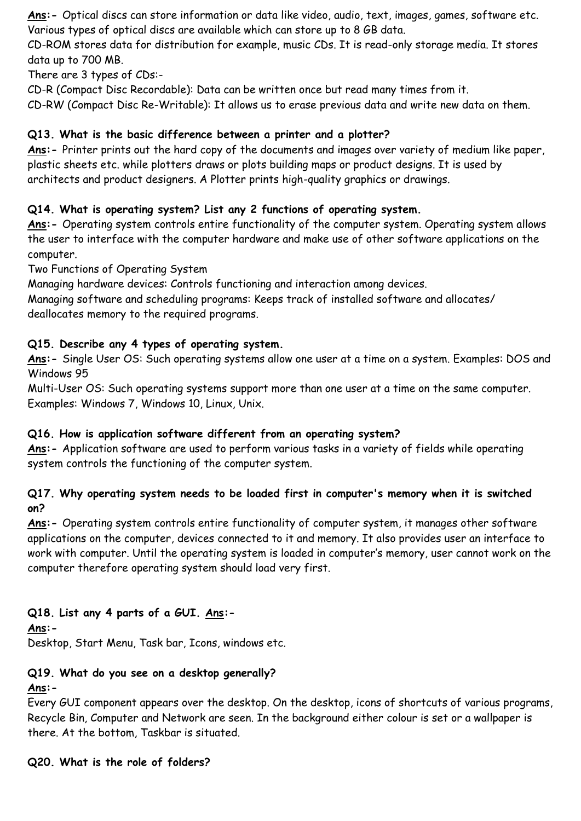**Ans:-** Optical discs can store information or data like video, audio, text, images, games, software etc. Various types of optical discs are available which can store up to 8 GB data.

CD-ROM stores data for distribution for example, music CDs. It is read-only storage media. It stores data up to 700 MB.

There are 3 types of CDs:-

CD-R (Compact Disc Recordable): Data can be written once but read many times from it.

CD-RW (Compact Disc Re-Writable): It allows us to erase previous data and write new data on them.

## **Q13. What is the basic difference between a printer and a plotter?**

**Ans:-** Printer prints out the hard copy of the documents and images over variety of medium like paper, plastic sheets etc. while plotters draws or plots building maps or product designs. It is used by architects and product designers. A Plotter prints high-quality graphics or drawings.

## **Q14. What is operating system? List any 2 functions of operating system.**

**Ans:-** Operating system controls entire functionality of the computer system. Operating system allows the user to interface with the computer hardware and make use of other software applications on the computer.

Two Functions of Operating System

Managing hardware devices: Controls functioning and interaction among devices.

Managing software and scheduling programs: Keeps track of installed software and allocates/ deallocates memory to the required programs.

#### **Q15. Describe any 4 types of operating system.**

**Ans:-** Single User OS: Such operating systems allow one user at a time on a system. Examples: DOS and Windows 95

Multi-User OS: Such operating systems support more than one user at a time on the same computer. Examples: Windows 7, Windows 10, Linux, Unix.

#### **Q16. How is application software different from an operating system?**

**Ans:-** Application software are used to perform various tasks in a variety of fields while operating system controls the functioning of the computer system.

#### **Q17. Why operating system needs to be loaded first in computer's memory when it is switched on?**

**Ans:-** Operating system controls entire functionality of computer system, it manages other software applications on the computer, devices connected to it and memory. It also provides user an interface to work with computer. Until the operating system is loaded in computer's memory, user cannot work on the computer therefore operating system should load very first.

## **Q18. List any 4 parts of a GUI. Ans:-**

**Ans:-**

Desktop, Start Menu, Task bar, Icons, windows etc.

## **Q19. What do you see on a desktop generally?**

#### **Ans:-**

Every GUI component appears over the desktop. On the desktop, icons of shortcuts of various programs, Recycle Bin, Computer and Network are seen. In the background either colour is set or a wallpaper is there. At the bottom, Taskbar is situated.

#### **Q20. What is the role of folders?**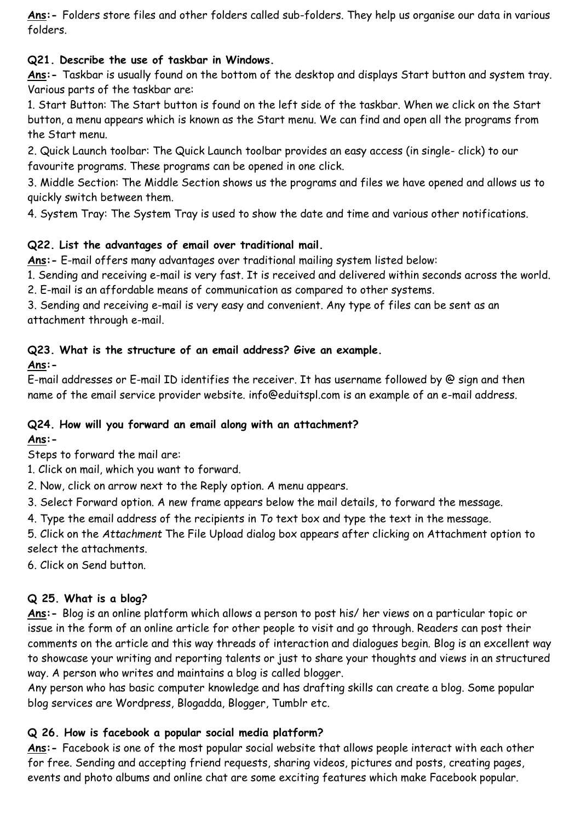**Ans:-** Folders store files and other folders called sub-folders. They help us organise our data in various folders.

#### **Q21. Describe the use of taskbar in Windows.**

**Ans:-** Taskbar is usually found on the bottom of the desktop and displays Start button and system tray. Various parts of the taskbar are:

1. Start Button: The Start button is found on the left side of the taskbar. When we click on the Start button, a menu appears which is known as the Start menu. We can find and open all the programs from the Start menu.

2. Quick Launch toolbar: The Quick Launch toolbar provides an easy access (in single- click) to our favourite programs. These programs can be opened in one click.

3. Middle Section: The Middle Section shows us the programs and files we have opened and allows us to quickly switch between them.

4. System Tray: The System Tray is used to show the date and time and various other notifications.

## **Q22. List the advantages of email over traditional mail.**

**Ans:-** E-mail offers many advantages over traditional mailing system listed below:

1. Sending and receiving e-mail is very fast. It is received and delivered within seconds across the world.

2. E-mail is an affordable means of communication as compared to other systems.

3. Sending and receiving e-mail is very easy and convenient. Any type of files can be sent as an attachment through e-mail.

## **Q23. What is the structure of an email address? Give an example.**

## **Ans:-**

E-mail addresses or E-mail ID identifies the receiver. It has username followed by @ sign and then name of the email service provider website. info@eduitspl.com is an example of an e-mail address.

## **Q24. How will you forward an email along with an attachment?**

## **Ans:-**

Steps to forward the mail are:

1. Click on mail, which you want to forward.

2. Now, click on arrow next to the Reply option. A menu appears.

3. Select Forward option. A new frame appears below the mail details, to forward the message.

4. Type the email address of the recipients in *To* text box and type the text in the message.

5. Click on the *Attachment* The File Upload dialog box appears after clicking on Attachment option to select the attachments.

6. Click on Send button.

## **Q 25. What is a blog?**

**Ans:-** Blog is an online platform which allows a person to post his/ her views on a particular topic or issue in the form of an online article for other people to visit and go through. Readers can post their comments on the article and this way threads of interaction and dialogues begin. Blog is an excellent way to showcase your writing and reporting talents or just to share your thoughts and views in an structured way. A person who writes and maintains a blog is called blogger.

Any person who has basic computer knowledge and has drafting skills can create a blog. Some popular blog services are Wordpress, Blogadda, Blogger, Tumblr etc.

## **Q 26. How is facebook a popular social media platform?**

**Ans:-** Facebook is one of the most popular social website that allows people interact with each other for free. Sending and accepting friend requests, sharing videos, pictures and posts, creating pages, events and photo albums and online chat are some exciting features which make Facebook popular.